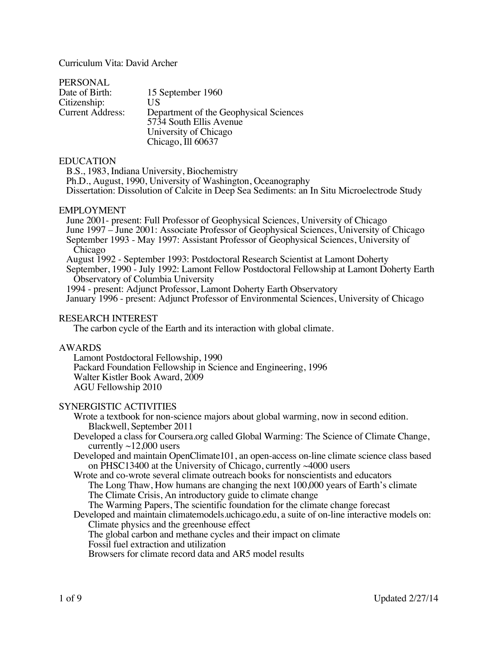Curriculum Vita: David Archer

| 15 September 1960                      |
|----------------------------------------|
| US                                     |
| Department of the Geophysical Sciences |
| 5734 South Ellis Avenue                |
| University of Chicago                  |
| Chicago, Ill 60637                     |
|                                        |

#### EDUCATION

B.S., 1983, Indiana University, Biochemistry Ph.D., August, 1990, University of Washington, Oceanography Dissertation: Dissolution of Calcite in Deep Sea Sediments: an In Situ Microelectrode Study

## EMPLOYMENT

June 2001- present: Full Professor of Geophysical Sciences, University of Chicago June 1997 – June 2001: Associate Professor of Geophysical Sciences, University of Chicago September 1993 - May 1997: Assistant Professor of Geophysical Sciences, University of Chicago August 1992 - September 1993: Postdoctoral Research Scientist at Lamont Doherty September, 1990 - July 1992: Lamont Fellow Postdoctoral Fellowship at Lamont Doherty Earth Observatory of Columbia University

1994 - present: Adjunct Professor, Lamont Doherty Earth Observatory

January 1996 - present: Adjunct Professor of Environmental Sciences, University of Chicago

## RESEARCH INTEREST

The carbon cycle of the Earth and its interaction with global climate.

#### AWARDS

Lamont Postdoctoral Fellowship, 1990 Packard Foundation Fellowship in Science and Engineering, 1996 Walter Kistler Book Award, 2009 AGU Fellowship 2010

# SYNERGISTIC ACTIVITIES

Wrote a textbook for non-science majors about global warming, now in second edition. Blackwell, September 2011

Developed a class for Coursera.org called Global Warming: The Science of Climate Change, currently  $\sim$ 12,000 users

Developed and maintain OpenClimate101, an open-access on-line climate science class based on PHSC13400 at the University of Chicago, currently ~4000 users

Wrote and co-wrote several climate outreach books for nonscientists and educators The Long Thaw, How humans are changing the next 100,000 years of Earth's climate The Climate Crisis, An introductory guide to climate change The Warming Papers, The scientific foundation for the climate change forecast

Developed and maintain climatemodels.uchicago.edu, a suite of on-line interactive models on: Climate physics and the greenhouse effect

The global carbon and methane cycles and their impact on climate

Fossil fuel extraction and utilization

Browsers for climate record data and AR5 model results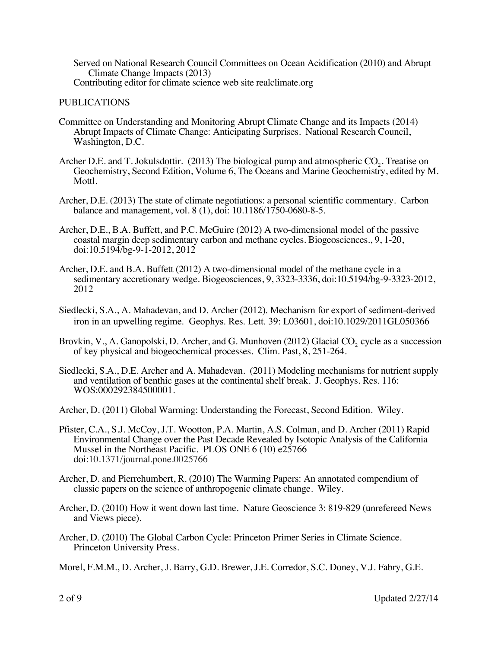Served on National Research Council Committees on Ocean Acidification (2010) and Abrupt Climate Change Impacts (2013) Contributing editor for climate science web site realclimate.org

## PUBLICATIONS

- Committee on Understanding and Monitoring Abrupt Climate Change and its Impacts (2014) Abrupt Impacts of Climate Change: Anticipating Surprises. National Research Council, Washington, D.C.
- Archer D.E. and T. Jokulsdottir.  $(2013)$  The biological pump and atmospheric CO<sub>2</sub>. Treatise on Geochemistry, Second Edition, Volume 6, The Oceans and Marine Geochemistry, edited by M. Mottl.
- Archer, D.E. (2013) The state of climate negotiations: a personal scientific commentary. Carbon balance and management, vol. 8 (1), doi: 10.1186/1750-0680-8-5.
- Archer, D.E., B.A. Buffett, and P.C. McGuire (2012) A two-dimensional model of the passive coastal margin deep sedimentary carbon and methane cycles. Biogeosciences., 9, 1-20, doi:10.5194/bg-9-1-2012, 2012
- Archer, D.E. and B.A. Buffett (2012) A two-dimensional model of the methane cycle in a sedimentary accretionary wedge. Biogeosciences, 9, 3323-3336, doi:10.5194/bg-9-3323-2012, 2012
- Siedlecki, S.A., A. Mahadevan, and D. Archer (2012). Mechanism for export of sediment-derived iron in an upwelling regime. Geophys. Res. Lett. 39: L03601, doi:10.1029/2011GL050366
- Brovkin, V., A. Ganopolski, D. Archer, and G. Munhoven (2012) Glacial CO<sub>2</sub> cycle as a succession of key physical and biogeochemical processes. Clim. Past, 8, 251-264.
- Siedlecki, S.A., D.E. Archer and A. Mahadevan. (2011) Modeling mechanisms for nutrient supply and ventilation of benthic gases at the continental shelf break. J. Geophys. Res. 116: WOS:000292384500001.
- Archer, D. (2011) Global Warming: Understanding the Forecast, Second Edition. Wiley.
- Pfister, C.A., S.J. McCoy, J.T. Wootton, P.A. Martin, A.S. Colman, and D. Archer (2011) Rapid Environmental Change over the Past Decade Revealed by Isotopic Analysis of the California Mussel in the Northeast Pacific. PLOS ONE 6 (10) e25766 doi:10.1371/journal.pone.0025766
- Archer, D. and Pierrehumbert, R. (2010) The Warming Papers: An annotated compendium of classic papers on the science of anthropogenic climate change. Wiley.
- Archer, D. (2010) How it went down last time. Nature Geoscience 3: 819-829 (unrefereed News and Views piece).
- Archer, D. (2010) The Global Carbon Cycle: Princeton Primer Series in Climate Science. Princeton University Press.
- Morel, F.M.M., D. Archer, J. Barry, G.D. Brewer, J.E. Corredor, S.C. Doney, V.J. Fabry, G.E.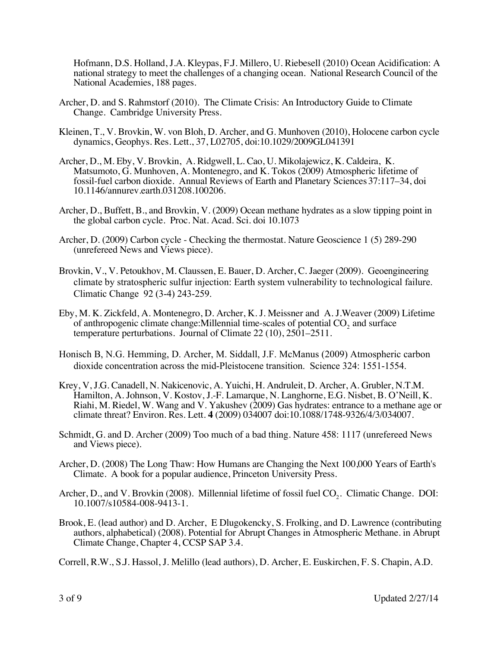Hofmann, D.S. Holland, J.A. Kleypas, F.J. Millero, U. Riebesell (2010) Ocean Acidification: A national strategy to meet the challenges of a changing ocean. National Research Council of the National Academies, 188 pages.

- Archer, D. and S. Rahmstorf (2010). The Climate Crisis: An Introductory Guide to Climate Change. Cambridge University Press.
- Kleinen, T., V. Brovkin, W. von Bloh, D. Archer, and G. Munhoven (2010), Holocene carbon cycle dynamics, Geophys. Res. Lett., 37, L02705, doi:10.1029/2009GL041391
- Archer, D., M. Eby, V. Brovkin, A. Ridgwell, L. Cao, U. Mikolajewicz, K. Caldeira, K. Matsumoto, G. Munhoven, A. Montenegro, and K. Tokos (2009) Atmospheric lifetime of fossil-fuel carbon dioxide. Annual Reviews of Earth and Planetary Sciences 37:117–34, doi 10.1146/annurev.earth.031208.100206.
- Archer, D., Buffett, B., and Brovkin, V. (2009) Ocean methane hydrates as a slow tipping point in the global carbon cycle. Proc. Nat. Acad. Sci. doi 10.1073
- Archer, D. (2009) Carbon cycle Checking the thermostat. Nature Geoscience 1 (5) 289-290 (unrefereed News and Views piece).
- Brovkin, V., V. Petoukhov, M. Claussen, E. Bauer, D. Archer, C. Jaeger (2009). Geoengineering climate by stratospheric sulfur injection: Earth system vulnerability to technological failure. Climatic Change 92 (3-4) 243-259.
- Eby, M. K. Zickfeld, A. Montenegro, D. Archer, K. J. Meissner and A. J.Weaver (2009) Lifetime of anthropogenic climate change: Millennial time-scales of potential  $CO<sub>2</sub>$  and surface temperature perturbations. Journal of Climate 22 (10), 2501–2511.
- Honisch B, N.G. Hemming, D. Archer, M. Siddall, J.F. McManus (2009) Atmospheric carbon dioxide concentration across the mid-Pleistocene transition. Science 324: 1551-1554.
- Krey, V, J.G. Canadell, N. Nakicenovic, A. Yuichi, H. Andruleit, D. Archer, A. Grubler, N.T.M. Hamilton, A. Johnson, V. Kostov, J.-F. Lamarque, N. Langhorne, E.G. Nisbet, B. O'Neill, K. Riahi, M. Riedel, W. Wang and V. Yakushev (2009) Gas hydrates: entrance to a methane age or climate threat? Environ. Res. Lett. **4** (2009) 034007 doi:10.1088/1748-9326/4/3/034007.
- Schmidt, G. and D. Archer (2009) Too much of a bad thing. Nature 458: 1117 (unrefereed News and Views piece).
- Archer, D. (2008) The Long Thaw: How Humans are Changing the Next 100,000 Years of Earth's Climate. A book for a popular audience, Princeton University Press.
- Archer, D., and V. Brovkin (2008). Millennial lifetime of fossil fuel CO<sub>2</sub>. Climatic Change. DOI: 10.1007/s10584-008-9413-1.
- Brook, E. (lead author) and D. Archer, E Dlugokencky, S. Frolking, and D. Lawrence (contributing authors, alphabetical) (2008). Potential for Abrupt Changes in Atmospheric Methane. in Abrupt Climate Change, Chapter 4, CCSP SAP 3.4.
- Correll, R.W., S.J. Hassol, J. Melillo (lead authors), D. Archer, E. Euskirchen, F. S. Chapin, A.D.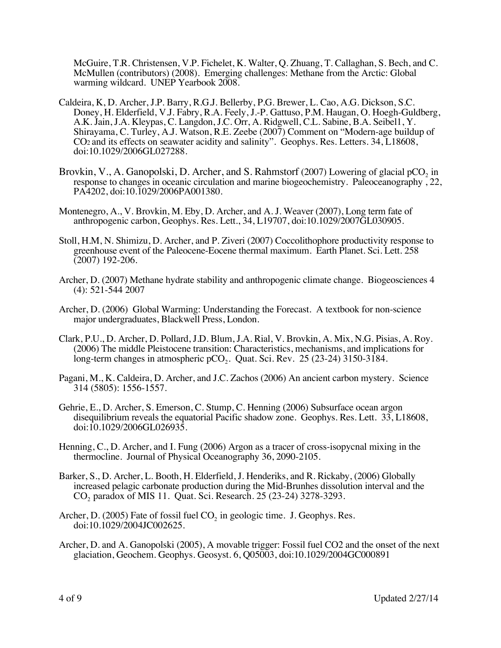McGuire, T.R. Christensen, V.P. Fichelet, K. Walter, Q. Zhuang, T. Callaghan, S. Bech, and C. McMullen (contributors) (2008). Emerging challenges: Methane from the Arctic: Global warming wildcard. UNEP Yearbook 2008.

- Caldeira, K, D. Archer, J.P. Barry, R.G.J. Bellerby, P.G. Brewer, L. Cao, A.G. Dickson, S.C. Doney, H. Elderfield, V.J. Fabry, R.A. Feely, J.-P. Gattuso, P.M. Haugan, O. Hoegh-Guldberg, A.K. Jain, J.A. Kleypas, C. Langdon, J.C. Orr, A. Ridgwell, C.L. Sabine, B.A. Seibel1, Y. Shirayama, C. Turley, A.J. Watson, R.E. Zeebe (2007) Comment on "Modern-age buildup of CO2 and its effects on seawater acidity and salinity". Geophys. Res. Letters. 34, L18608, doi:10.1029/2006GL027288.
- Brovkin,  $V, A$ . Ganopolski, D. Archer, and S. Rahmstorf (2007) Lowering of glacial pCO<sub>2</sub> in response to changes in oceanic circulation and marine biogeochemistry. Paleoceanography , 22, PA4202, doi:10.1029/2006PA001380.
- Montenegro, A., V. Brovkin, M. Eby, D. Archer, and A. J. Weaver (2007), Long term fate of anthropogenic carbon, Geophys. Res. Lett., 34, L19707, doi:10.1029/2007GL030905.
- Stoll, H.M, N. Shimizu, D. Archer, and P. Ziveri (2007) Coccolithophore productivity response to greenhouse event of the Paleocene-Eocene thermal maximum. Earth Planet. Sci. Lett. 258 (2007) 192-206.
- Archer, D. (2007) Methane hydrate stability and anthropogenic climate change. Biogeosciences 4 (4): 521-544 2007
- Archer, D. (2006) Global Warming: Understanding the Forecast. A textbook for non-science major undergraduates, Blackwell Press, London.
- Clark, P.U., D. Archer, D. Pollard, J.D. Blum, J.A. Rial, V. Brovkin, A. Mix, N.G. Pisias, A. Roy. (2006) The middle Pleistocene transition: Characteristics, mechanisms, and implications for long-term changes in atmospheric pCO<sub>2</sub>. Quat. Sci. Rev. 25 (23-24) 3150-3184.
- Pagani, M., K. Caldeira, D. Archer, and J.C. Zachos (2006) An ancient carbon mystery. Science 314 (5805): 1556-1557.
- Gehrie, E., D. Archer, S. Emerson, C. Stump, C. Henning (2006) Subsurface ocean argon disequilibrium reveals the equatorial Pacific shadow zone. Geophys. Res. Lett. 33, L18608, doi:10.1029/2006GL026935.
- Henning, C., D. Archer, and I. Fung (2006) Argon as a tracer of cross-isopycnal mixing in the thermocline. Journal of Physical Oceanography 36, 2090-2105.
- Barker, S., D. Archer, L. Booth, H. Elderfield, J. Henderiks, and R. Rickaby, (2006) Globally increased pelagic carbonate production during the Mid-Brunhes dissolution interval and the CO2 paradox of MIS 11. Quat. Sci. Research. 25 (23-24) 3278-3293.
- Archer, D. (2005) Fate of fossil fuel  $CO<sub>2</sub>$  in geologic time. J. Geophys. Res. doi:10.1029/2004JC002625.
- Archer, D. and A. Ganopolski (2005), A movable trigger: Fossil fuel CO2 and the onset of the next glaciation, Geochem. Geophys. Geosyst. 6, Q05003, doi:10.1029/2004GC000891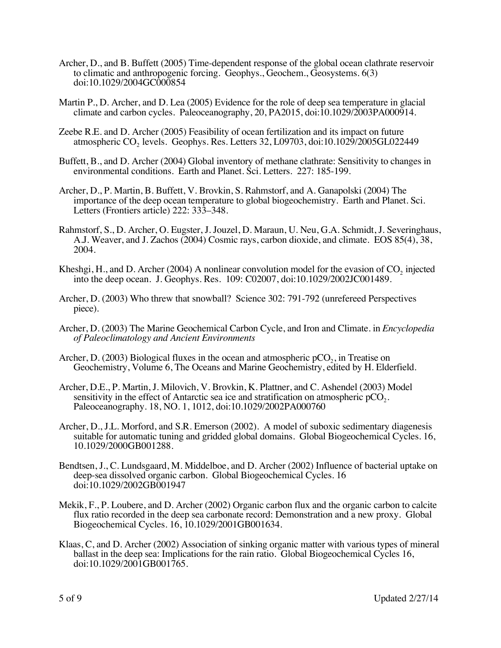- Archer, D., and B. Buffett (2005) Time-dependent response of the global ocean clathrate reservoir to climatic and anthropogenic forcing. Geophys., Geochem., Geosystems. 6(3) doi:10.1029/2004GC000854
- Martin P., D. Archer, and D. Lea (2005) Evidence for the role of deep sea temperature in glacial climate and carbon cycles. Paleoceanography, 20, PA2015, doi:10.1029/2003PA000914.
- Zeebe R.E. and D. Archer (2005) Feasibility of ocean fertilization and its impact on future atmospheric CO<sub>2</sub> levels. Geophys. Res. Letters 32, L09703, doi:10.1029/2005GL022449
- Buffett, B., and D. Archer (2004) Global inventory of methane clathrate: Sensitivity to changes in environmental conditions. Earth and Planet. Sci. Letters. 227: 185-199.
- Archer, D., P. Martin, B. Buffett, V. Brovkin, S. Rahmstorf, and A. Ganapolski (2004) The importance of the deep ocean temperature to global biogeochemistry. Earth and Planet. Sci. Letters (Frontiers article) 222: 333–348.
- Rahmstorf, S., D. Archer, O. Eugster, J. Jouzel, D. Maraun, U. Neu, G.A. Schmidt, J. Severinghaus, A.J. Weaver, and J. Zachos (2004) Cosmic rays, carbon dioxide, and climate. EOS 85(4), 38, 2004.
- Kheshgi, H., and D. Archer (2004) A nonlinear convolution model for the evasion of  $CO<sub>2</sub>$  injected into the deep ocean. J. Geophys. Res. 109: C02007, doi:10.1029/2002JC001489.
- Archer, D. (2003) Who threw that snowball? Science 302: 791-792 (unrefereed Perspectives piece).
- Archer, D. (2003) The Marine Geochemical Carbon Cycle, and Iron and Climate. in *Encyclopedia of Paleoclimatology and Ancient Environments*
- Archer, D. (2003) Biological fluxes in the ocean and atmospheric  $pCO<sub>2</sub>$ , in Treatise on Geochemistry, Volume 6, The Oceans and Marine Geochemistry, edited by H. Elderfield.
- Archer, D.E., P. Martin, J. Milovich, V. Brovkin, K. Plattner, and C. Ashendel (2003) Model sensitivity in the effect of Antarctic sea ice and stratification on atmospheric  $pCO<sub>2</sub>$ . Paleoceanography. 18, NO. 1, 1012, doi:10.1029/2002PA000760
- Archer, D., J.L. Morford, and S.R. Emerson (2002). A model of suboxic sedimentary diagenesis suitable for automatic tuning and gridded global domains. Global Biogeochemical Cycles. 16, 10.1029/2000GB001288.
- Bendtsen, J., C. Lundsgaard, M. Middelboe, and D. Archer (2002) Influence of bacterial uptake on deep-sea dissolved organic carbon. Global Biogeochemical Cycles. 16 doi:10.1029/2002GB001947
- Mekik, F., P. Loubere, and D. Archer (2002) Organic carbon flux and the organic carbon to calcite flux ratio recorded in the deep sea carbonate record: Demonstration and a new proxy. Global Biogeochemical Cycles. 16, 10.1029/2001GB001634.
- Klaas, C, and D. Archer (2002) Association of sinking organic matter with various types of mineral ballast in the deep sea: Implications for the rain ratio. Global Biogeochemical Cycles 16, doi:10.1029/2001GB001765.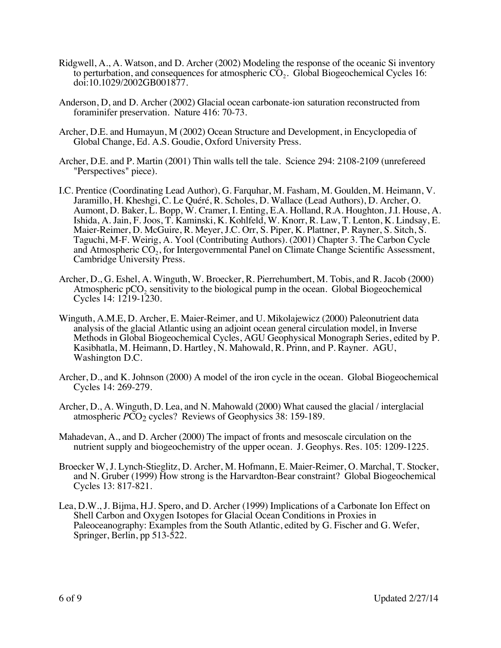- Ridgwell, A., A. Watson, and D. Archer (2002) Modeling the response of the oceanic Si inventory to perturbation, and consequences for atmospheric  $CO<sub>2</sub>$ . Global Biogeochemical Cycles 16: doi:10.1029/2002GB001877.
- Anderson, D, and D. Archer (2002) Glacial ocean carbonate-ion saturation reconstructed from foraminifer preservation. Nature 416: 70-73.
- Archer, D.E. and Humayun, M (2002) Ocean Structure and Development, in Encyclopedia of Global Change, Ed. A.S. Goudie, Oxford University Press.
- Archer, D.E. and P. Martin (2001) Thin walls tell the tale. Science 294: 2108-2109 (unrefereed "Perspectives" piece).
- I.C. Prentice (Coordinating Lead Author), G. Farquhar, M. Fasham, M. Goulden, M. Heimann, V. Jaramillo, H. Kheshgi, C. Le Quéré, R. Scholes, D. Wallace (Lead Authors), D. Archer, O. Aumont, D. Baker, L. Bopp, W. Cramer, I. Enting, E.A. Holland, R.A. Houghton, J.I. House, A. Ishida, A. Jain, F. Joos, T. Kaminski, K. Kohlfeld, W. Knorr, R. Law, T. Lenton, K. Lindsay, E. Maier-Reimer, D. McGuire, R. Meyer, J.C. Orr, S. Piper, K. Plattner, P. Rayner, S. Sitch, S. Taguchi, M-F. Weirig, A. Yool (Contributing Authors). (2001) Chapter 3. The Carbon Cycle and Atmospheric  $CO<sub>2</sub>$ , for Intergovernmental Panel on Climate Change Scientific Assessment, Cambridge University Press.
- Archer, D., G. Eshel, A. Winguth, W. Broecker, R. Pierrehumbert, M. Tobis, and R. Jacob (2000) Atmospheric  $pCO<sub>2</sub>$  sensitivity to the biological pump in the ocean. Global Biogeochemical Cycles 14: 1219-1230.
- Winguth, A.M.E, D. Archer, E. Maier-Reimer, and U. Mikolajewicz (2000) Paleonutrient data analysis of the glacial Atlantic using an adjoint ocean general circulation model, in Inverse Methods in Global Biogeochemical Cycles, AGU Geophysical Monograph Series, edited by P. Kasibhatla, M. Heimann, D. Hartley, N. Mahowald, R. Prinn, and P. Rayner. AGU, Washington D.C.
- Archer, D., and K. Johnson (2000) A model of the iron cycle in the ocean. Global Biogeochemical Cycles 14: 269-279.
- Archer, D., A. Winguth, D. Lea, and N. Mahowald (2000) What caused the glacial / interglacial atmospheric *PCO*<sub>2</sub> cycles? Reviews of Geophysics 38: 159-189.
- Mahadevan, A., and D. Archer (2000) The impact of fronts and mesoscale circulation on the nutrient supply and biogeochemistry of the upper ocean. J. Geophys. Res. 105: 1209-1225.
- Broecker W, J. Lynch-Stieglitz, D. Archer, M. Hofmann, E. Maier-Reimer, O. Marchal, T. Stocker, and N. Gruber (1999) How strong is the Harvardton-Bear constraint? Global Biogeochemical Cycles 13: 817-821.
- Lea, D.W., J. Bijma, H.J. Spero, and D. Archer (1999) Implications of a Carbonate Ion Effect on Shell Carbon and Oxygen Isotopes for Glacial Ocean Conditions in Proxies in Paleoceanography: Examples from the South Atlantic, edited by G. Fischer and G. Wefer, Springer, Berlin, pp 513-522.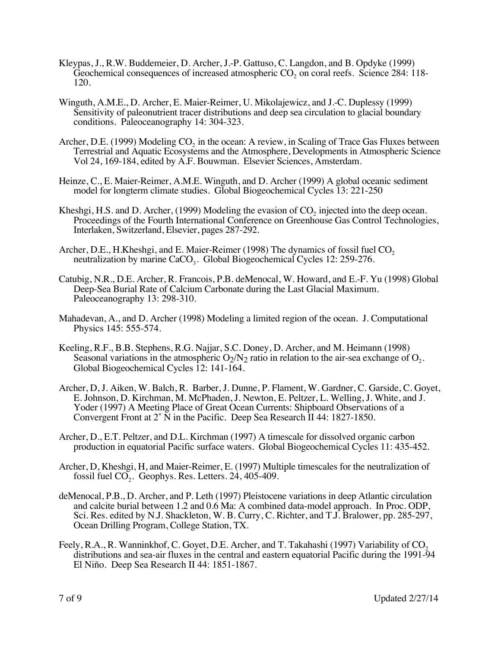- Kleypas, J., R.W. Buddemeier, D. Archer, J.-P. Gattuso, C. Langdon, and B. Opdyke (1999) Geochemical consequences of increased atmospheric  $CO<sub>2</sub>$  on coral reefs. Science 284: 118-120.
- Winguth, A.M.E., D. Archer, E. Maier-Reimer, U. Mikolajewicz, and J.-C. Duplessy (1999) Sensitivity of paleonutrient tracer distributions and deep sea circulation to glacial boundary conditions. Paleoceanography 14: 304-323.
- Archer, D.E. (1999) Modeling  $CO<sub>2</sub>$  in the ocean: A review, in Scaling of Trace Gas Fluxes between Terrestrial and Aquatic Ecosystems and the Atmosphere, Developments in Atmospheric Science Vol 24, 169-184, edited by A.F. Bouwman. Elsevier Sciences, Amsterdam.
- Heinze, C., E. Maier-Reimer, A.M.E. Winguth, and D. Archer (1999) A global oceanic sediment model for longterm climate studies. Global Biogeochemical Cycles 13: 221-250
- Kheshgi, H.S. and D. Archer,  $(1999)$  Modeling the evasion of CO<sub>2</sub> injected into the deep ocean. Proceedings of the Fourth International Conference on Greenhouse Gas Control Technologies, Interlaken, Switzerland, Elsevier, pages 287-292.
- Archer, D.E., H.Kheshgi, and E. Maier-Reimer (1998) The dynamics of fossil fuel CO<sub>2</sub> neutralization by marine  $CaCO<sub>3</sub>$ . Global Biogeochemical Cycles 12: 259-276.
- Catubig, N.R., D.E. Archer, R. Francois, P.B. deMenocal, W. Howard, and E.-F. Yu (1998) Global Deep-Sea Burial Rate of Calcium Carbonate during the Last Glacial Maximum. Paleoceanography 13: 298-310.
- Mahadevan, A., and D. Archer (1998) Modeling a limited region of the ocean. J. Computational Physics 145: 555-574.
- Keeling, R.F., B.B. Stephens, R.G. Najjar, S.C. Doney, D. Archer, and M. Heimann (1998) Seasonal variations in the atmospheric  $O_2/N_2$  ratio in relation to the air-sea exchange of  $O_2$ . Global Biogeochemical Cycles 12: 141-164.
- Archer, D, J. Aiken, W. Balch, R. Barber, J. Dunne, P. Flament, W. Gardner, C. Garside, C. Goyet, E. Johnson, D. Kirchman, M. McPhaden, J. Newton, E. Peltzer, L. Welling, J. White, and J. Yoder (1997) A Meeting Place of Great Ocean Currents: Shipboard Observations of a Convergent Front at 2˚ N in the Pacific. Deep Sea Research II 44: 1827-1850.
- Archer, D., E.T. Peltzer, and D.L. Kirchman (1997) A timescale for dissolved organic carbon production in equatorial Pacific surface waters. Global Biogeochemical Cycles 11: 435-452.
- Archer, D, Kheshgi, H, and Maier-Reimer, E. (1997) Multiple timescales for the neutralization of fossil fuel  $CO<sub>2</sub>$ . Geophys. Res. Letters. 24, 405-409.
- deMenocal, P.B., D. Archer, and P. Leth (1997) Pleistocene variations in deep Atlantic circulation and calcite burial between 1.2 and 0.6 Ma: A combined data-model approach. In Proc. ODP, Sci. Res. edited by N.J. Shackleton, W. B. Curry, C. Richter, and T.J. Bralower, pp. 285-297, Ocean Drilling Program, College Station, TX.
- Feely, R.A., R. Wanninkhof, C. Goyet, D.E. Archer, and T. Takahashi (1997) Variability of CO<sub>2</sub> distributions and sea-air fluxes in the central and eastern equatorial Pacific during the 1991-94 El Niño. Deep Sea Research II 44: 1851-1867.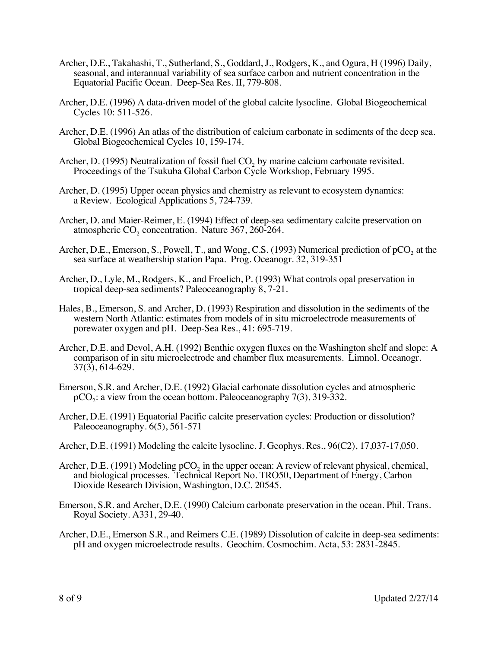- Archer, D.E., Takahashi, T., Sutherland, S., Goddard, J., Rodgers, K., and Ogura, H (1996) Daily, seasonal, and interannual variability of sea surface carbon and nutrient concentration in the Equatorial Pacific Ocean. Deep-Sea Res. II, 779-808.
- Archer, D.E. (1996) A data-driven model of the global calcite lysocline. Global Biogeochemical Cycles 10: 511-526.
- Archer, D.E. (1996) An atlas of the distribution of calcium carbonate in sediments of the deep sea. Global Biogeochemical Cycles 10, 159-174.
- Archer, D.  $(1995)$  Neutralization of fossil fuel CO<sub>2</sub> by marine calcium carbonate revisited. Proceedings of the Tsukuba Global Carbon Cycle Workshop, February 1995.
- Archer, D. (1995) Upper ocean physics and chemistry as relevant to ecosystem dynamics: a Review. Ecological Applications 5, 724-739.
- Archer, D. and Maier-Reimer, E. (1994) Effect of deep-sea sedimentary calcite preservation on atmospheric  $CO$ , concentration. Nature 367, 260-264.
- Archer, D.E., Emerson, S., Powell, T., and Wong, C.S.  $(1993)$  Numerical prediction of pCO<sub>2</sub> at the sea surface at weathership station Papa. Prog. Oceanogr. 32, 319-351
- Archer, D., Lyle, M., Rodgers, K., and Froelich, P. (1993) What controls opal preservation in tropical deep-sea sediments? Paleoceanography 8, 7-21.
- Hales, B., Emerson, S. and Archer, D. (1993) Respiration and dissolution in the sediments of the western North Atlantic: estimates from models of in situ microelectrode measurements of porewater oxygen and pH. Deep-Sea Res., 41: 695-719.
- Archer, D.E. and Devol, A.H. (1992) Benthic oxygen fluxes on the Washington shelf and slope: A comparison of in situ microelectrode and chamber flux measurements. Limnol. Oceanogr. 37(3), 614-629.
- Emerson, S.R. and Archer, D.E. (1992) Glacial carbonate dissolution cycles and atmospheric  $pCO<sub>2</sub>$ : a view from the ocean bottom. Paleoceanography 7(3), 319-332.
- Archer, D.E. (1991) Equatorial Pacific calcite preservation cycles: Production or dissolution? Paleoceanography. 6(5), 561-571
- Archer, D.E. (1991) Modeling the calcite lysocline. J. Geophys. Res., 96(C2), 17,037-17,050.
- Archer, D.E. (1991) Modeling  $pCO<sub>2</sub>$  in the upper ocean: A review of relevant physical, chemical, and biological processes. Technical Report No. TRO50, Department of Energy, Carbon Dioxide Research Division, Washington, D.C. 20545.
- Emerson, S.R. and Archer, D.E. (1990) Calcium carbonate preservation in the ocean. Phil. Trans. Royal Society. A331, 29-40.
- Archer, D.E., Emerson S.R., and Reimers C.E. (1989) Dissolution of calcite in deep-sea sediments: pH and oxygen microelectrode results. Geochim. Cosmochim. Acta, 53: 2831-2845.